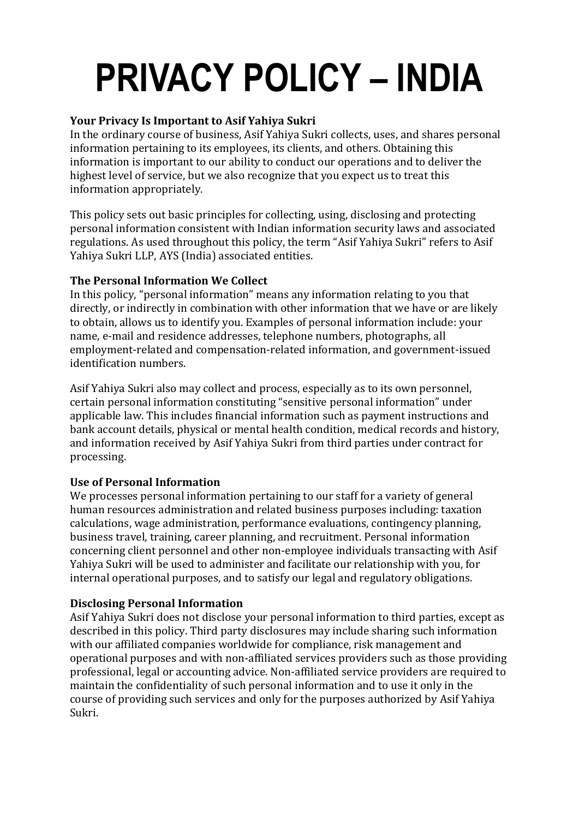# **PRIVACY POLICY – INDIA**

## **Your Privacy Is Important to Asif Yahiya Sukri**

In the ordinary course of business, Asif Yahiya Sukri collects, uses, and shares personal information pertaining to its employees, its clients, and others. Obtaining this information is important to our ability to conduct our operations and to deliver the highest level of service, but we also recognize that you expect us to treat this information appropriately.

This policy sets out basic principles for collecting, using, disclosing and protecting personal information consistent with Indian information security laws and associated regulations. As used throughout this policy, the term "Asif Yahiya Sukri" refers to Asif Yahiya Sukri LLP, AYS (India) associated entities.

#### **The Personal Information We Collect**

In this policy, "personal information" means any information relating to you that directly, or indirectly in combination with other information that we have or are likely to obtain, allows us to identify you. Examples of personal information include: your name, e-mail and residence addresses, telephone numbers, photographs, all employment-related and compensation-related information, and government-issued identification numbers.

Asif Yahiya Sukri also may collect and process, especially as to its own personnel, certain personal information constituting "sensitive personal information" under applicable law. This includes financial information such as payment instructions and bank account details, physical or mental health condition, medical records and history, and information received by Asif Yahiya Sukri from third parties under contract for processing.

#### **Use of Personal Information**

We processes personal information pertaining to our staff for a variety of general human resources administration and related business purposes including: taxation calculations, wage administration, performance evaluations, contingency planning, business travel, training, career planning, and recruitment. Personal information concerning client personnel and other non-employee individuals transacting with Asif Yahiya Sukri will be used to administer and facilitate our relationship with you, for internal operational purposes, and to satisfy our legal and regulatory obligations.

# **Disclosing Personal Information**

Asif Yahiya Sukri does not disclose your personal information to third parties, except as described in this policy. Third party disclosures may include sharing such information with our affiliated companies worldwide for compliance, risk management and operational purposes and with non-affiliated services providers such as those providing professional, legal or accounting advice. Non-affiliated service providers are required to maintain the confidentiality of such personal information and to use it only in the course of providing such services and only for the purposes authorized by Asif Yahiya Sukri.